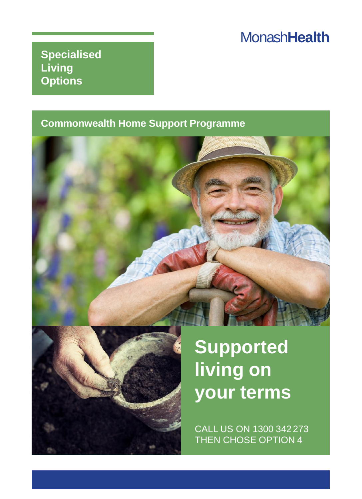## Monash**Health**

**Specialised Living Options**

#### **Commonwealth Home Support Programme**





**Supported living on your terms**

CALL US ON 1300 342 273 THEN CHOSE OPTION 4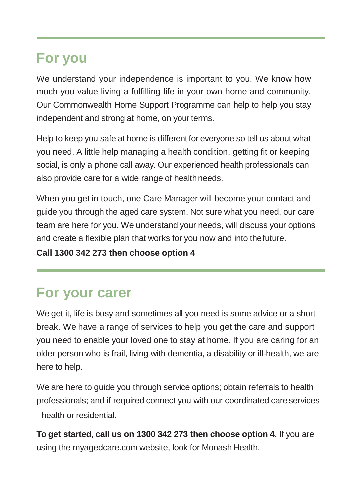## **For you**

We understand your independence is important to you. We know how much you value living a fulfilling life in your own home and community. Our Commonwealth Home Support Programme can help to help you stay independent and strong at home, on your terms.

Help to keep you safe at home is different for everyone so tell us about what you need. A little help managing a health condition, getting fit or keeping social, is only a phone call away. Our experienced health professionals can also provide care for a wide range of healthneeds.

When you get in touch, one Care Manager will become your contact and guide you through the aged care system. Not sure what you need, our care team are here for you. We understand your needs, will discuss your options and create a flexible plan that works for you now and into thefuture.

**Call 1300 342 273 then choose option 4**

# **For your carer**

We get it, life is busy and sometimes all you need is some advice or a short break. We have a range of services to help you get the care and support you need to enable your loved one to stay at home. If you are caring for an older person who is frail, living with dementia, a disability or ill-health, we are here to help.

We are here to guide you through service options; obtain referrals to health professionals; and if required connect you with our coordinated careservices - health or residential.

**To get started, call us on 1300 342 273 then choose option 4.** If you are using the myagedcare.com website, look for Monash Health.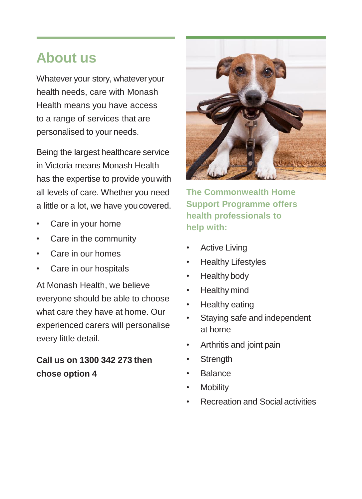### **About us**

Whatever your story, whatever your health needs, care with Monash Health means you have access to a range of services that are personalised to your needs.

Being the largest healthcare service in Victoria means Monash Health has the expertise to provide youwith all levels of care. Whether you need a little or a lot, we have youcovered.

- Care in your home
- Care in the community
- Care in our homes
- Care in our hospitals

At Monash Health, we believe everyone should be able to choose what care they have at home. Our experienced carers will personalise every little detail.

#### **Call us on 1300 342 273 then chose option 4**



**The Commonwealth Home Support Programme offers health professionals to help with:**

- **Active Living**
- Healthy Lifestyles
- Healthy body
- Healthy mind
- Healthy eating
- Staying safe and independent at home
- Arthritis and joint pain
- **Strength**
- Balance
- **Mobility**
- Recreation and Social activities